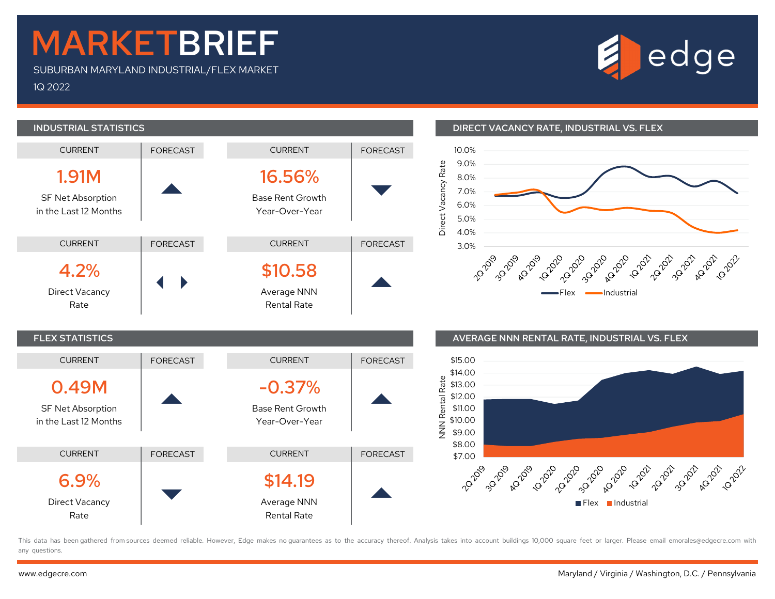## MARKETBRIEF

SUBURBAN MARYLAND INDUSTRIAL/FLEX MARKET 1Q 2022





## INDUSTRIAL STATISTICS DIRECT VACANCY RATE, INDUSTRIAL VS. FLEX





This data has been gathered from sources deemed reliable. However, Edge makes no quarantees as to the accuracy thereof. Analysis takes into account buildings 10,000 square feet or larger. Please email emorales@edgecre.com any questions.

SF Net Absorption in the Last 12 Months

Direct Vacancy

Rate

6.9%

CURRENT | FORECAST

 $\blacktriangledown$